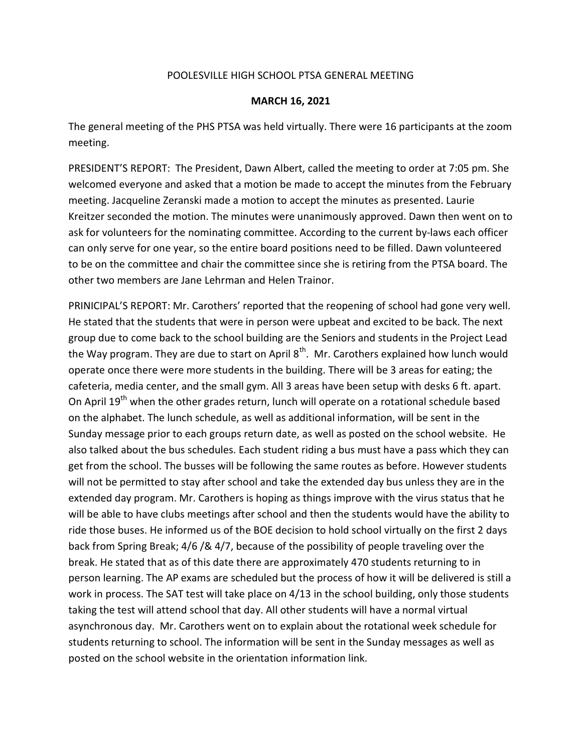## POOLESVILLE HIGH SCHOOL PTSA GENERAL MEETING

## MARCH 16, 2021

The general meeting of the PHS PTSA was held virtually. There were 16 participants at the zoom meeting.

PRESIDENT'S REPORT: The President, Dawn Albert, called the meeting to order at 7:05 pm. She welcomed everyone and asked that a motion be made to accept the minutes from the February meeting. Jacqueline Zeranski made a motion to accept the minutes as presented. Laurie Kreitzer seconded the motion. The minutes were unanimously approved. Dawn then went on to ask for volunteers for the nominating committee. According to the current by-laws each officer can only serve for one year, so the entire board positions need to be filled. Dawn volunteered to be on the committee and chair the committee since she is retiring from the PTSA board. The other two members are Jane Lehrman and Helen Trainor.

PRINICIPAL'S REPORT: Mr. Carothers' reported that the reopening of school had gone very well. He stated that the students that were in person were upbeat and excited to be back. The next group due to come back to the school building are the Seniors and students in the Project Lead the Way program. They are due to start on April  $8<sup>th</sup>$ . Mr. Carothers explained how lunch would operate once there were more students in the building. There will be 3 areas for eating; the cafeteria, media center, and the small gym. All 3 areas have been setup with desks 6 ft. apart. On April 19<sup>th</sup> when the other grades return, lunch will operate on a rotational schedule based on the alphabet. The lunch schedule, as well as additional information, will be sent in the Sunday message prior to each groups return date, as well as posted on the school website. He also talked about the bus schedules. Each student riding a bus must have a pass which they can get from the school. The busses will be following the same routes as before. However students will not be permitted to stay after school and take the extended day bus unless they are in the extended day program. Mr. Carothers is hoping as things improve with the virus status that he will be able to have clubs meetings after school and then the students would have the ability to ride those buses. He informed us of the BOE decision to hold school virtually on the first 2 days back from Spring Break; 4/6 /& 4/7, because of the possibility of people traveling over the break. He stated that as of this date there are approximately 470 students returning to in person learning. The AP exams are scheduled but the process of how it will be delivered is still a work in process. The SAT test will take place on 4/13 in the school building, only those students taking the test will attend school that day. All other students will have a normal virtual asynchronous day. Mr. Carothers went on to explain about the rotational week schedule for students returning to school. The information will be sent in the Sunday messages as well as posted on the school website in the orientation information link.